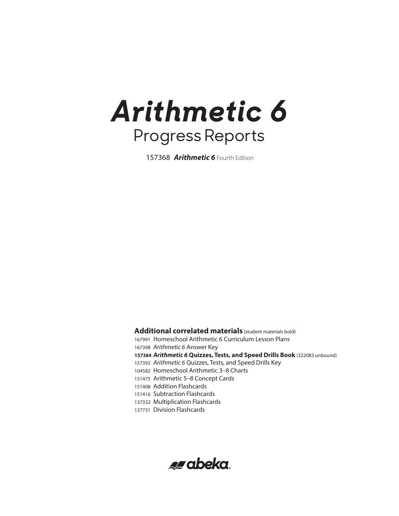**Arithmetic 6** Fourth Edition

**Additional correlated materials** (student materials bold) Homeschool Arithmetic 6 Curriculum Lesson Plans *Arithmetic 6* Answer Key *Arithmetic 6* **Quizzes, Tests, and Speed Drills Book** (322083 unbound) *Arithmetic 6* Quizzes, Tests, and Speed Drills Key Homeschool Arithmetic 3–8 Charts Arithmetic 5–8 Concept Cards Addition Flashcards Subtraction Flashcards Multiplication Flashcards Division Flashcards

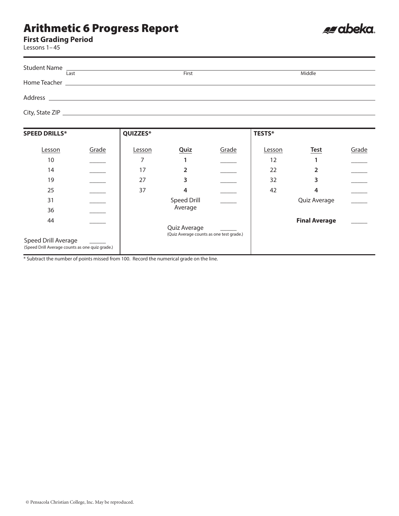**First Grading Period**

Lessons 1–45

|         | Student Name                                                     |       |        |
|---------|------------------------------------------------------------------|-------|--------|
|         | Last                                                             | First | Middle |
|         |                                                                  |       |        |
| Address | <u> 1989 - Andrea Stadt Britain, amerikansk politik (* 1958)</u> |       |        |
|         |                                                                  |       |        |

es abeka.

| <b>SPEED DRILLS*</b>                                                   |       | QUIZZES* |                                                          |       | <b>TESTS*</b> |                      |       |
|------------------------------------------------------------------------|-------|----------|----------------------------------------------------------|-------|---------------|----------------------|-------|
| Lesson                                                                 | Grade | Lesson   | Quiz                                                     | Grade | Lesson        | <b>Test</b>          | Grade |
| 10                                                                     |       |          |                                                          |       | 12            |                      |       |
| 14                                                                     |       | 17       | $\overline{2}$                                           |       | 22            | $\mathfrak z$        |       |
| 19                                                                     |       | 27       | 3                                                        |       | 32            | 3                    |       |
| 25                                                                     |       | 37       | 4                                                        |       | 42            | 4                    |       |
| 31                                                                     |       |          | <b>Speed Drill</b>                                       |       |               | Quiz Average         |       |
| 36                                                                     |       |          | Average                                                  |       |               |                      |       |
| 44                                                                     |       |          |                                                          |       |               | <b>Final Average</b> |       |
| Speed Drill Average<br>(Speed Drill Average counts as one quiz grade.) |       |          | Quiz Average<br>(Quiz Average counts as one test grade.) |       |               |                      |       |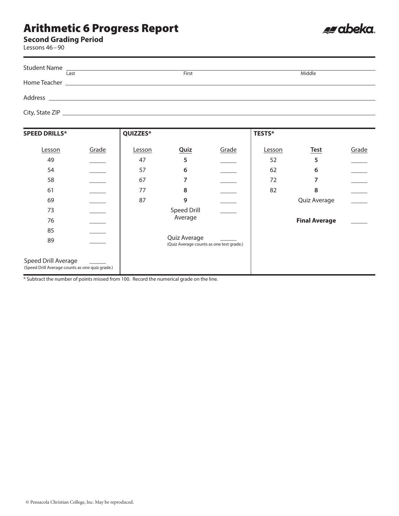

Lessons 46–90

| Last | First | Middle |
|------|-------|--------|
|      |       |        |
|      |       |        |
|      |       |        |
|      |       |        |
|      |       |        |

es abeka.

| <b>SPEED DRILLS*</b>                                                   |       | QUIZZES* |                                                          |                          | <b>TESTS*</b> |                      |       |
|------------------------------------------------------------------------|-------|----------|----------------------------------------------------------|--------------------------|---------------|----------------------|-------|
| Lesson                                                                 | Grade | Lesson   | <b>Quiz</b>                                              | Grade                    | Lesson        | <b>Test</b>          | Grade |
| 49                                                                     |       | 47       | 5                                                        |                          | 52            | 5                    |       |
| 54                                                                     |       | 57       | 6                                                        |                          | 62            | 6                    |       |
| 58                                                                     |       | 67       | 7                                                        |                          | 72            | 7                    |       |
| 61                                                                     |       | 77       | 8                                                        |                          | 82            | 8                    |       |
| 69                                                                     |       | 87       | 9                                                        | $\overline{\phantom{a}}$ |               | Quiz Average         |       |
| 73                                                                     |       |          | Speed Drill                                              |                          |               |                      |       |
| 76                                                                     |       |          | Average                                                  |                          |               | <b>Final Average</b> |       |
| 85                                                                     |       |          |                                                          |                          |               |                      |       |
| 89                                                                     |       |          | Quiz Average<br>(Quiz Average counts as one test grade.) |                          |               |                      |       |
| Speed Drill Average<br>(Speed Drill Average counts as one quiz grade.) |       |          |                                                          |                          |               |                      |       |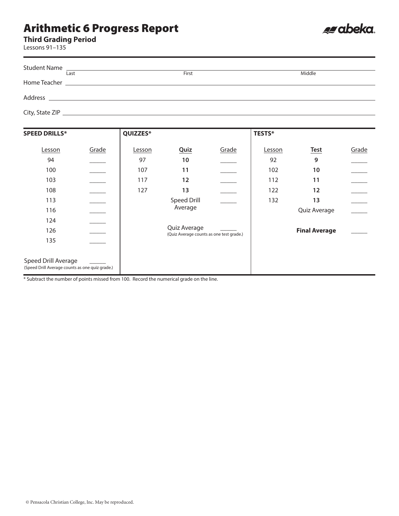**Third Grading Period**

Lessons 91–135

| Student Name<br>Last | First | Middle |
|----------------------|-------|--------|
|                      |       |        |
|                      |       |        |
|                      |       |        |

es abeka.

| <b>SPEED DRILLS*</b>                                                   |                          | QUIZZES* |                                                          |       | <b>TESTS*</b> |                      |       |
|------------------------------------------------------------------------|--------------------------|----------|----------------------------------------------------------|-------|---------------|----------------------|-------|
| Lesson                                                                 | Grade                    | Lesson   | Quiz                                                     | Grade | Lesson        | <b>Test</b>          | Grade |
| 94                                                                     |                          | 97       | 10                                                       |       | 92            | 9                    |       |
| 100                                                                    |                          | 107      | 11                                                       |       | 102           | 10                   |       |
| 103                                                                    |                          | 117      | 12                                                       |       | 112           | 11                   |       |
| 108                                                                    |                          | 127      | 13                                                       |       | 122           | 12                   |       |
| 113                                                                    | $\overline{\phantom{a}}$ |          | Speed Drill                                              |       | 132           | 13                   |       |
| 116                                                                    | $\overline{\phantom{a}}$ |          | Average                                                  |       |               | Quiz Average         |       |
| 124                                                                    | $\overline{\phantom{a}}$ |          |                                                          |       |               |                      |       |
| 126                                                                    |                          |          | Quiz Average<br>(Quiz Average counts as one test grade.) |       |               | <b>Final Average</b> |       |
| 135                                                                    |                          |          |                                                          |       |               |                      |       |
|                                                                        |                          |          |                                                          |       |               |                      |       |
| Speed Drill Average<br>(Speed Drill Average counts as one quiz grade.) |                          |          |                                                          |       |               |                      |       |